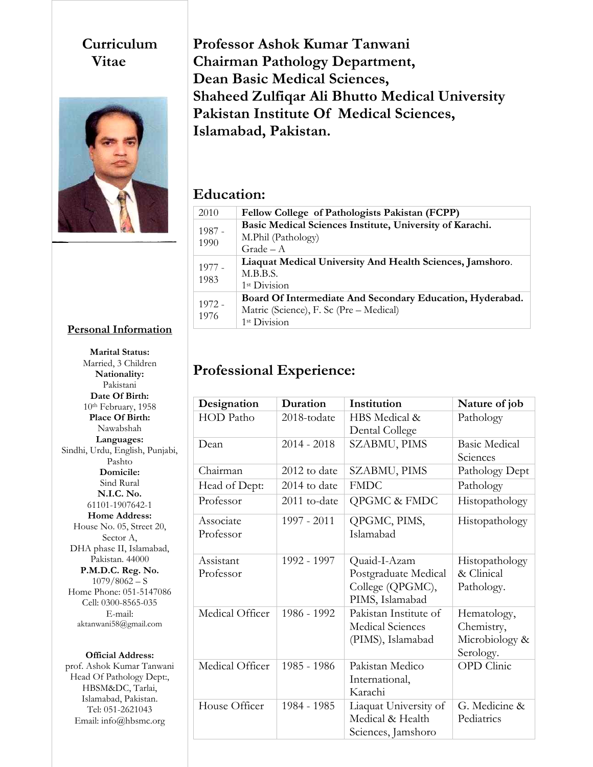#### **Curriculum Vitae**



### **Professor Ashok Kumar Tanwani Chairman Pathology Department, Dean Basic Medical Sciences, Shaheed Zulfiqar Ali Bhutto Medical University Pakistan Institute Of Medical Sciences, Islamabad, Pakistan.**

#### **Education:**

| 2010             | Fellow College of Pathologists Pakistan (FCPP)            |
|------------------|-----------------------------------------------------------|
| $1987 -$<br>1990 | Basic Medical Sciences Institute, University of Karachi.  |
|                  | M.Phil (Pathology)                                        |
|                  | $Grade - A$                                               |
| $1977 -$<br>1983 | Liaquat Medical University And Health Sciences, Jamshoro. |
|                  | M.B.B.S.                                                  |
|                  | 1 <sup>st</sup> Division                                  |
| $1972 -$<br>1976 | Board Of Intermediate And Secondary Education, Hyderabad. |
|                  | Matric (Science), F. Sc (Pre – Medical)                   |
|                  | 1st Division                                              |

# **Professional Experience:**

| Designation      | Duration       | Institution             | Nature of job        |
|------------------|----------------|-------------------------|----------------------|
| <b>HOD</b> Patho | 2018-todate    | HBS Medical &           | Pathology            |
|                  |                | Dental College          |                      |
| Dean             | $2014 - 2018$  | SZABMU, PIMS            | <b>Basic Medical</b> |
|                  |                |                         | Sciences             |
| Chairman         | $2012$ to date | SZABMU, PIMS            | Pathology Dept       |
| Head of Dept:    | 2014 to date   | <b>FMDC</b>             | Pathology            |
| Professor        | 2011 to-date   | QPGMC & FMDC            | Histopathology       |
| Associate        | 1997 - 2011    | QPGMC, PIMS,            | Histopathology       |
| Professor        |                | Islamabad               |                      |
|                  |                |                         |                      |
| Assistant        | 1992 - 1997    | Quaid-I-Azam            | Histopathology       |
| Professor        |                | Postgraduate Medical    | & Clinical           |
|                  |                | College (QPGMC),        | Pathology.           |
|                  |                | PIMS, Islamabad         |                      |
| Medical Officer  | 1986 - 1992    | Pakistan Institute of   | Hematology,          |
|                  |                | <b>Medical Sciences</b> | Chemistry,           |
|                  |                | (PIMS), Islamabad       | Microbiology &       |
|                  |                |                         | Serology.            |
| Medical Officer  | 1985 - 1986    | Pakistan Medico         | OPD Clinic           |
|                  |                | International,          |                      |
|                  |                | Karachi                 |                      |
| House Officer    | 1984 - 1985    | Liaquat University of   | G. Medicine &        |
|                  |                | Medical & Health        | Pediatrics           |
|                  |                | Sciences, Jamshoro      |                      |

**Marital Status:** Married, 3 Children **Nationality:** Pakistani **Date Of Birth:** 10th February, 1958 **Place Of Birth:** Nawabshah **Languages:** Sindhi, Urdu, English, Punjabi, Pashto **Domicile:** Sind Rural **N.I.C. No.** 61101-1907642-1 **Home Address:**  House No. 05, Street 20, Sector A, DHA phase II, Islamabad, Pakistan. 44000 **P.M.D.C. Reg. No.**  $1079/8062 - S$ Home Phone: 051-5147086 Cell: 0300-8565-035 E-mail: aktanwani58@gmail.com

**Personal Information**

#### **Official Address:**

prof. Ashok Kumar Tanwani Head Of Pathology Dept:, HBSM&DC, Tarlai, Islamabad, Pakistan. Tel: 051-2621043 Email: info@hbsmc.org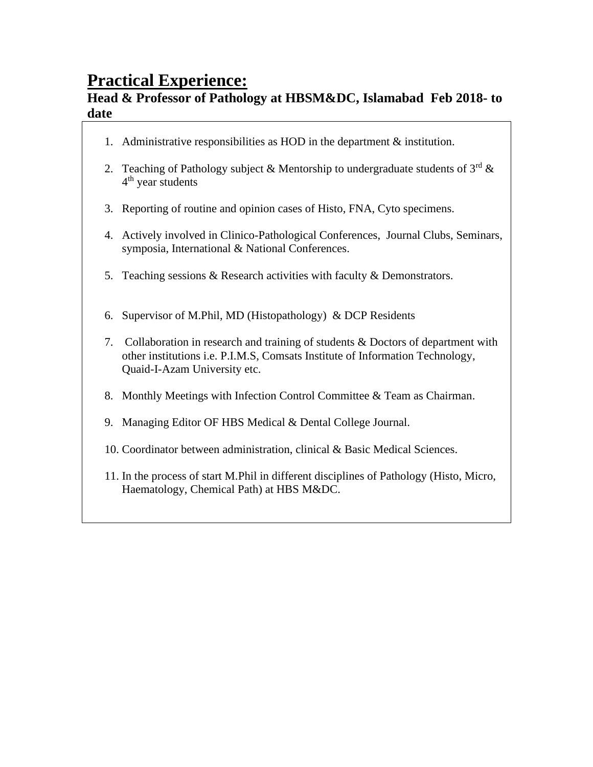# **Practical Experience:**

#### **Head & Professor of Pathology at HBSM&DC, Islamabad Feb 2018- to date**

- 1. Administrative responsibilities as HOD in the department & institution.
- 2. Teaching of Pathology subject & Mentorship to undergraduate students of  $3^{rd}$  & 4<sup>th</sup> year students
- 3. Reporting of routine and opinion cases of Histo, FNA, Cyto specimens.
- 4. Actively involved in Clinico-Pathological Conferences, Journal Clubs, Seminars, symposia, International & National Conferences.
- 5. Teaching sessions & Research activities with faculty & Demonstrators.
- 6. Supervisor of M.Phil, MD (Histopathology) & DCP Residents
- 7. Collaboration in research and training of students & Doctors of department with other institutions i.e. P.I.M.S, Comsats Institute of Information Technology, Quaid-I-Azam University etc.
- 8. Monthly Meetings with Infection Control Committee & Team as Chairman.
- 9. Managing Editor OF HBS Medical & Dental College Journal.
- 10. Coordinator between administration, clinical & Basic Medical Sciences.
- 11. In the process of start M.Phil in different disciplines of Pathology (Histo, Micro, Haematology, Chemical Path) at HBS M&DC.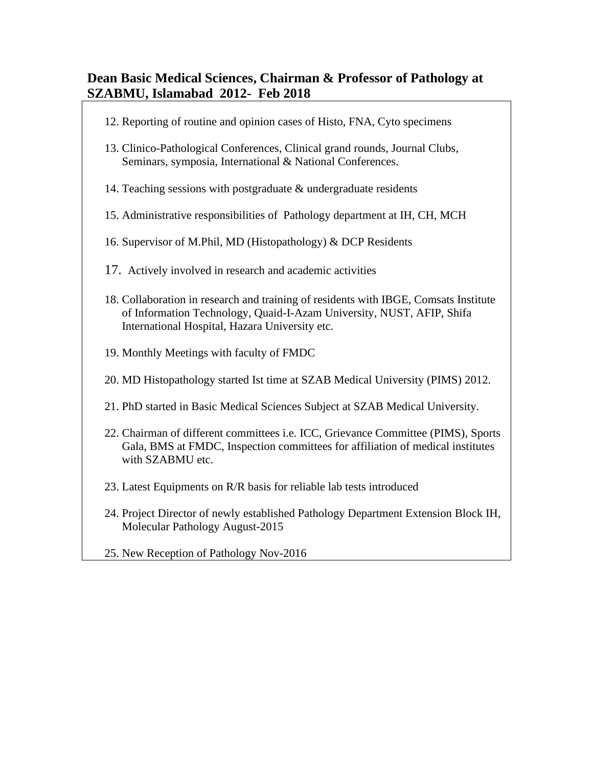#### **Dean Basic Medical Sciences, Chairman & Professor of Pathology at SZABMU, Islamabad 2012- Feb 2018**

- 12. Reporting of routine and opinion cases of Histo, FNA, Cyto specimens
- 13. Clinico-Pathological Conferences, Clinical grand rounds, Journal Clubs, Seminars, symposia, International & National Conferences.
- 14. Teaching sessions with postgraduate & undergraduate residents
- 15. Administrative responsibilities of Pathology department at IH, CH, MCH
- 16. Supervisor of M.Phil, MD (Histopathology) & DCP Residents
- 17. Actively involved in research and academic activities
- 18. Collaboration in research and training of residents with IBGE, Comsats Institute of Information Technology, Quaid-I-Azam University, NUST, AFIP, Shifa International Hospital, Hazara University etc.
- 19. Monthly Meetings with faculty of FMDC
- 20. MD Histopathology started Ist time at SZAB Medical University (PIMS) 2012.
- 21. PhD started in Basic Medical Sciences Subject at SZAB Medical University.
- 22. Chairman of different committees i.e. ICC, Grievance Committee (PIMS), Sports Gala, BMS at FMDC, Inspection committees for affiliation of medical institutes with SZABMU etc.
- 23. Latest Equipments on R/R basis for reliable lab tests introduced
- 24. Project Director of newly established Pathology Department Extension Block IH, Molecular Pathology August-2015
- 25. New Reception of Pathology Nov-2016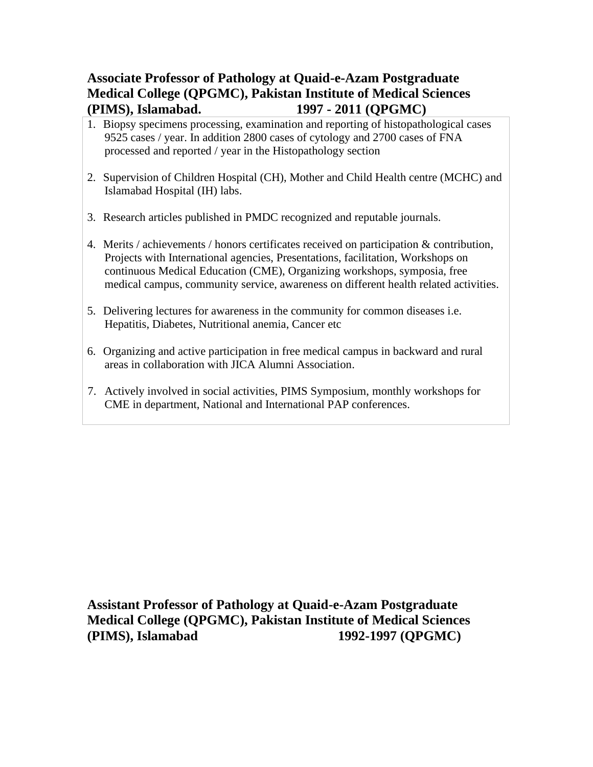#### **Associate Professor of Pathology at Quaid-e-Azam Postgraduate Medical College (QPGMC), Pakistan Institute of Medical Sciences (PIMS), Islamabad. 1997 - 2011 (QPGMC)**

- 1. Biopsy specimens processing, examination and reporting of histopathological cases 9525 cases / year. In addition 2800 cases of cytology and 2700 cases of FNA processed and reported / year in the Histopathology section
- 2. Supervision of Children Hospital (CH), Mother and Child Health centre (MCHC) and Islamabad Hospital (IH) labs.
- 3. Research articles published in PMDC recognized and reputable journals.
- 4. Merits / achievements / honors certificates received on participation & contribution, Projects with International agencies, Presentations, facilitation, Workshops on continuous Medical Education (CME), Organizing workshops, symposia, free medical campus, community service, awareness on different health related activities.
- 5. Delivering lectures for awareness in the community for common diseases i.e. Hepatitis, Diabetes, Nutritional anemia, Cancer etc
- 6. Organizing and active participation in free medical campus in backward and rural areas in collaboration with JICA Alumni Association.
- 7. Actively involved in social activities, PIMS Symposium, monthly workshops for CME in department, National and International PAP conferences.

**Assistant Professor of Pathology at Quaid-e-Azam Postgraduate Medical College (QPGMC), Pakistan Institute of Medical Sciences (PIMS), Islamabad 1992-1997 (QPGMC)**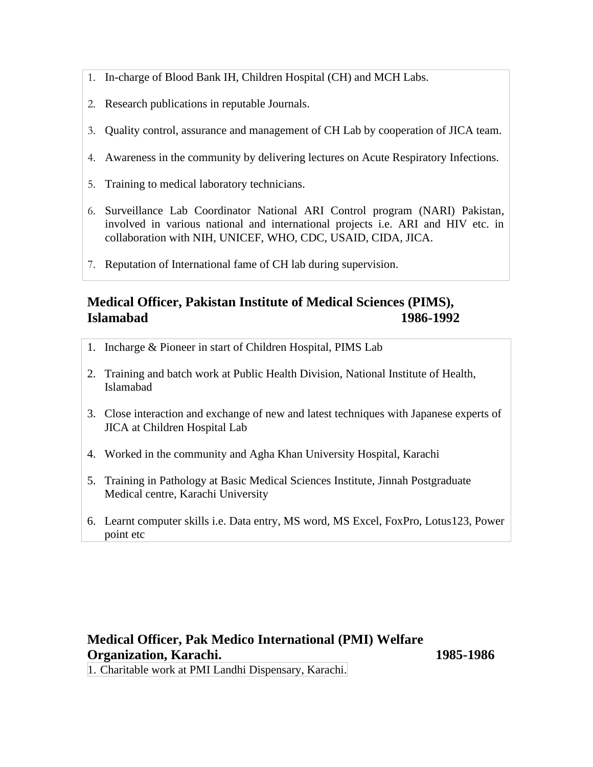- 1. In-charge of Blood Bank IH, Children Hospital (CH) and MCH Labs.
- 2. Research publications in reputable Journals.
- 3. Quality control, assurance and management of CH Lab by cooperation of JICA team.
- 4. Awareness in the community by delivering lectures on Acute Respiratory Infections.
- 5. Training to medical laboratory technicians.
- 6. Surveillance Lab Coordinator National ARI Control program (NARI) Pakistan, involved in various national and international projects i.e. ARI and HIV etc. in collaboration with NIH, UNICEF, WHO, CDC, USAID, CIDA, JICA.
- 7. Reputation of International fame of CH lab during supervision.

### **Medical Officer, Pakistan Institute of Medical Sciences (PIMS), Islamabad 1986-1992**

- 1. Incharge & Pioneer in start of Children Hospital, PIMS Lab
- 2. Training and batch work at Public Health Division, National Institute of Health, Islamabad
- 3. Close interaction and exchange of new and latest techniques with Japanese experts of JICA at Children Hospital Lab
- 4. Worked in the community and Agha Khan University Hospital, Karachi
- 5. Training in Pathology at Basic Medical Sciences Institute, Jinnah Postgraduate Medical centre, Karachi University
- 6. Learnt computer skills i.e. Data entry, MS word, MS Excel, FoxPro, Lotus123, Power point etc

### **Medical Officer, Pak Medico International (PMI) Welfare Organization, Karachi. 1985-1986**

1. Charitable work at PMI Landhi Dispensary, Karachi.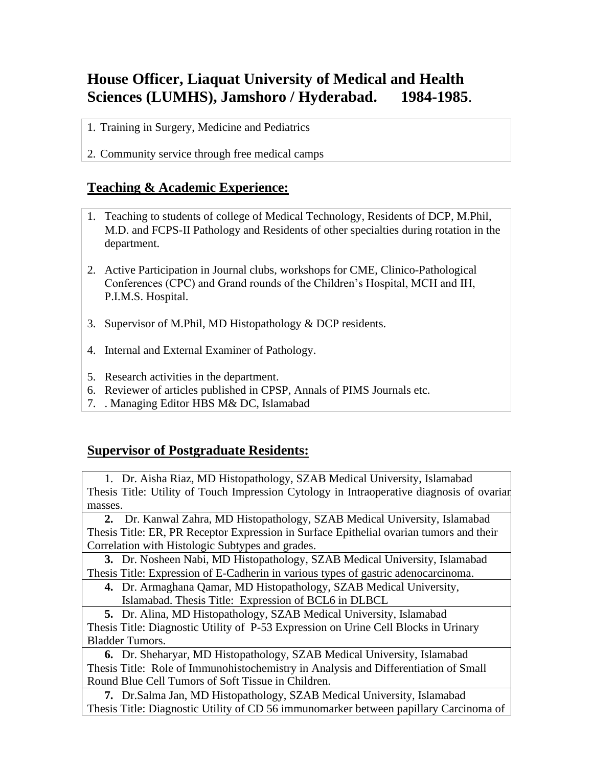### **House Officer, Liaquat University of Medical and Health Sciences (LUMHS), Jamshoro / Hyderabad. 1984-1985**.

- 1. Training in Surgery, Medicine and Pediatrics
- 2. Community service through free medical camps

#### **Teaching & Academic Experience:**

- 1. Teaching to students of college of Medical Technology, Residents of DCP, M.Phil, M.D. and FCPS-II Pathology and Residents of other specialties during rotation in the department.
- 2. Active Participation in Journal clubs, workshops for CME, Clinico-Pathological Conferences (CPC) and Grand rounds of the Children's Hospital, MCH and IH, P.I.M.S. Hospital.
- 3. Supervisor of M.Phil, MD Histopathology & DCP residents.
- 4. Internal and External Examiner of Pathology.
- 5. Research activities in the department.
- 6. Reviewer of articles published in CPSP, Annals of PIMS Journals etc.
- 7. . Managing Editor HBS M& DC, Islamabad

#### **Supervisor of Postgraduate Residents:**

1. Dr. Aisha Riaz, MD Histopathology, SZAB Medical University, Islamabad Thesis Title: Utility of Touch Impression Cytology in Intraoperative diagnosis of ovarian masses.

**2.** Dr. Kanwal Zahra, MD Histopathology, SZAB Medical University, Islamabad Thesis Title: ER, PR Receptor Expression in Surface Epithelial ovarian tumors and their Correlation with Histologic Subtypes and grades.

**3.** Dr. Nosheen Nabi, MD Histopathology, SZAB Medical University, Islamabad Thesis Title: Expression of E-Cadherin in various types of gastric adenocarcinoma.

**4.** Dr. Armaghana Qamar, MD Histopathology, SZAB Medical University, Islamabad. Thesis Title: Expression of BCL6 in DLBCL

**5.** Dr. Alina, MD Histopathology, SZAB Medical University, Islamabad Thesis Title: Diagnostic Utility of P-53 Expression on Urine Cell Blocks in Urinary Bladder Tumors.

**6.** Dr. Sheharyar, MD Histopathology, SZAB Medical University, Islamabad Thesis Title: Role of Immunohistochemistry in Analysis and Differentiation of Small Round Blue Cell Tumors of Soft Tissue in Children.

**7.** Dr.Salma Jan, MD Histopathology, SZAB Medical University, Islamabad Thesis Title: Diagnostic Utility of CD 56 immunomarker between papillary Carcinoma of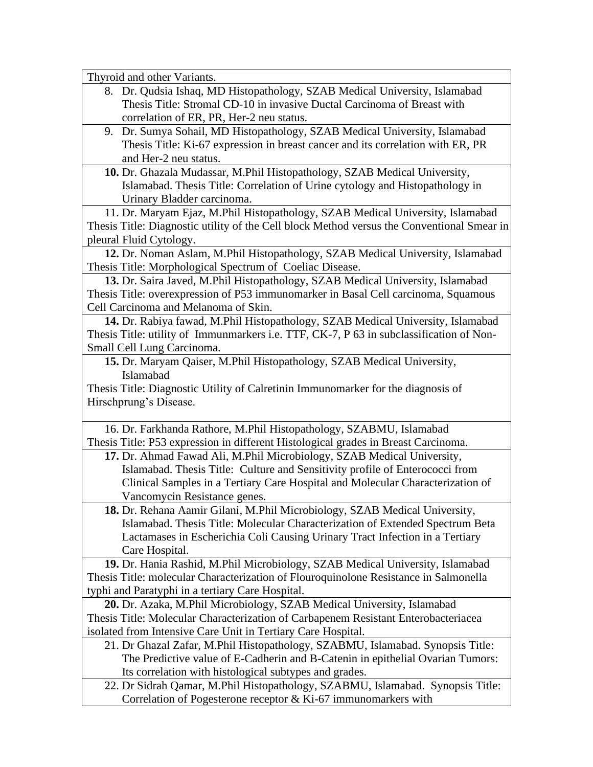Thyroid and other Variants. 8. Dr. Qudsia Ishaq, MD Histopathology, SZAB Medical University, Islamabad Thesis Title: Stromal CD-10 in invasive Ductal Carcinoma of Breast with correlation of ER, PR, Her-2 neu status. 9. Dr. Sumya Sohail, MD Histopathology, SZAB Medical University, Islamabad Thesis Title: Ki-67 expression in breast cancer and its correlation with ER, PR and Her-2 neu status. **10.** Dr. Ghazala Mudassar, M.Phil Histopathology, SZAB Medical University, Islamabad. Thesis Title: Correlation of Urine cytology and Histopathology in Urinary Bladder carcinoma. 11. Dr. Maryam Ejaz, M.Phil Histopathology, SZAB Medical University, Islamabad Thesis Title: Diagnostic utility of the Cell block Method versus the Conventional Smear in pleural Fluid Cytology. **12.** Dr. Noman Aslam, M.Phil Histopathology, SZAB Medical University, Islamabad Thesis Title: Morphological Spectrum of Coeliac Disease. **13.** Dr. Saira Javed, M.Phil Histopathology, SZAB Medical University, Islamabad Thesis Title: overexpression of P53 immunomarker in Basal Cell carcinoma, Squamous Cell Carcinoma and Melanoma of Skin. **14.** Dr. Rabiya fawad, M.Phil Histopathology, SZAB Medical University, Islamabad Thesis Title: utility of Immunmarkers i.e. TTF, CK-7, P 63 in subclassification of Non-Small Cell Lung Carcinoma. **15.** Dr. Maryam Qaiser, M.Phil Histopathology, SZAB Medical University, Islamabad Thesis Title: Diagnostic Utility of Calretinin Immunomarker for the diagnosis of Hirschprung's Disease. 16. Dr. Farkhanda Rathore, M.Phil Histopathology, SZABMU, Islamabad Thesis Title: P53 expression in different Histological grades in Breast Carcinoma. **17.** Dr. Ahmad Fawad Ali, M.Phil Microbiology, SZAB Medical University, Islamabad. Thesis Title: Culture and Sensitivity profile of Enterococci from Clinical Samples in a Tertiary Care Hospital and Molecular Characterization of Vancomycin Resistance genes. **18.** Dr. Rehana Aamir Gilani, M.Phil Microbiology, SZAB Medical University, Islamabad. Thesis Title: Molecular Characterization of Extended Spectrum Beta Lactamases in Escherichia Coli Causing Urinary Tract Infection in a Tertiary Care Hospital. **19.** Dr. Hania Rashid, M.Phil Microbiology, SZAB Medical University, Islamabad Thesis Title: molecular Characterization of Flouroquinolone Resistance in Salmonella typhi and Paratyphi in a tertiary Care Hospital. **20.** Dr. Azaka, M.Phil Microbiology, SZAB Medical University, Islamabad Thesis Title: Molecular Characterization of Carbapenem Resistant Enterobacteriacea isolated from Intensive Care Unit in Tertiary Care Hospital. 21. Dr Ghazal Zafar, M.Phil Histopathology, SZABMU, Islamabad. Synopsis Title: The Predictive value of E-Cadherin and B-Catenin in epithelial Ovarian Tumors: Its correlation with histological subtypes and grades. 22. Dr Sidrah Qamar, M.Phil Histopathology, SZABMU, Islamabad. Synopsis Title: Correlation of Pogesterone receptor & Ki-67 immunomarkers with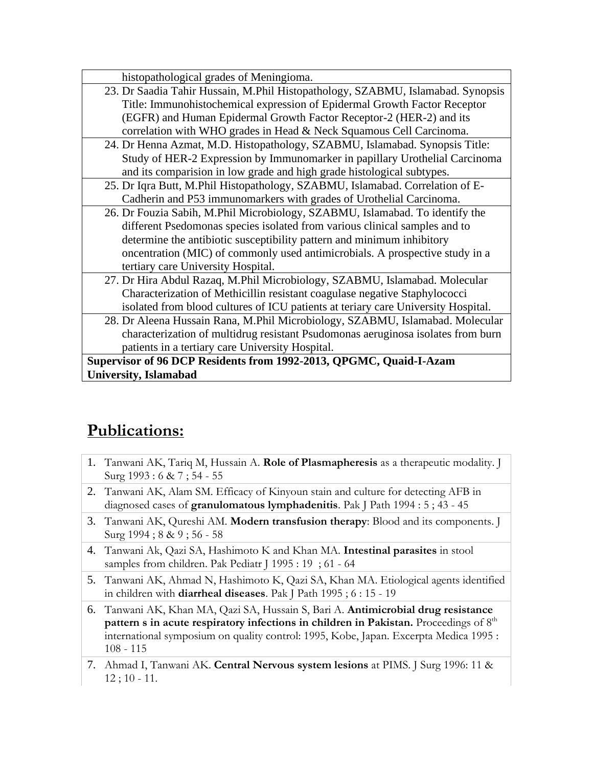| histopathological grades of Meningioma.                                           |  |  |  |
|-----------------------------------------------------------------------------------|--|--|--|
| 23. Dr Saadia Tahir Hussain, M.Phil Histopathology, SZABMU, Islamabad. Synopsis   |  |  |  |
| Title: Immunohistochemical expression of Epidermal Growth Factor Receptor         |  |  |  |
| (EGFR) and Human Epidermal Growth Factor Receptor-2 (HER-2) and its               |  |  |  |
| correlation with WHO grades in Head & Neck Squamous Cell Carcinoma.               |  |  |  |
| 24. Dr Henna Azmat, M.D. Histopathology, SZABMU, Islamabad. Synopsis Title:       |  |  |  |
| Study of HER-2 Expression by Immunomarker in papillary Urothelial Carcinoma       |  |  |  |
| and its comparision in low grade and high grade histological subtypes.            |  |  |  |
| 25. Dr Iqra Butt, M.Phil Histopathology, SZABMU, Islamabad. Correlation of E-     |  |  |  |
| Cadherin and P53 immunomarkers with grades of Urothelial Carcinoma.               |  |  |  |
| 26. Dr Fouzia Sabih, M.Phil Microbiology, SZABMU, Islamabad. To identify the      |  |  |  |
| different Psedomonas species isolated from various clinical samples and to        |  |  |  |
| determine the antibiotic susceptibility pattern and minimum inhibitory            |  |  |  |
| oncentration (MIC) of commonly used antimicrobials. A prospective study in a      |  |  |  |
| tertiary care University Hospital.                                                |  |  |  |
| 27. Dr Hira Abdul Razaq, M.Phil Microbiology, SZABMU, Islamabad. Molecular        |  |  |  |
| Characterization of Methicillin resistant coagulase negative Staphylococci        |  |  |  |
| isolated from blood cultures of ICU patients at teriary care University Hospital. |  |  |  |
| 28. Dr Aleena Hussain Rana, M.Phil Microbiology, SZABMU, Islamabad. Molecular     |  |  |  |
| characterization of multidrug resistant Psudomonas aeruginosa isolates from burn  |  |  |  |
| patients in a tertiary care University Hospital.                                  |  |  |  |
| Supervisor of 96 DCP Residents from 1992-2013, QPGMC, Quaid-I-Azam                |  |  |  |
| University, Islamabad                                                             |  |  |  |

# **Publications:**

- 1. Tanwani AK, Tariq M, Hussain A. **Role of Plasmapheresis** as a therapeutic modality. J Surg 1993 : 6 & 7 ; 54 - 55
- 2. Tanwani AK, Alam SM. Efficacy of Kinyoun stain and culture for detecting AFB in diagnosed cases of **granulomatous lymphadenitis**. Pak J Path 1994 : 5 ; 43 - 45
- 3. Tanwani AK, Qureshi AM. **Modern transfusion therapy**: Blood and its components. J Surg 1994 ; 8 & 9 ; 56 - 58
- 4. Tanwani Ak, Qazi SA, Hashimoto K and Khan MA. **Intestinal parasites** in stool samples from children. Pak Pediatr J 1995 : 19 ; 61 - 64
- 5. Tanwani AK, Ahmad N, Hashimoto K, Qazi SA, Khan MA. Etiological agents identified in children with **diarrheal diseases**. Pak J Path 1995 ; 6 : 15 - 19
- 6. Tanwani AK, Khan MA, Qazi SA, Hussain S, Bari A. **Antimicrobial drug resistance**  pattern s in acute respiratory infections in children in Pakistan. Proceedings of 8<sup>th</sup> international symposium on quality control: 1995, Kobe, Japan. Excerpta Medica 1995 : 108 - 115
- 7. Ahmad I, Tanwani AK. **Central Nervous system lesions** at PIMS. J Surg 1996: 11 & 12 ; 10 - 11.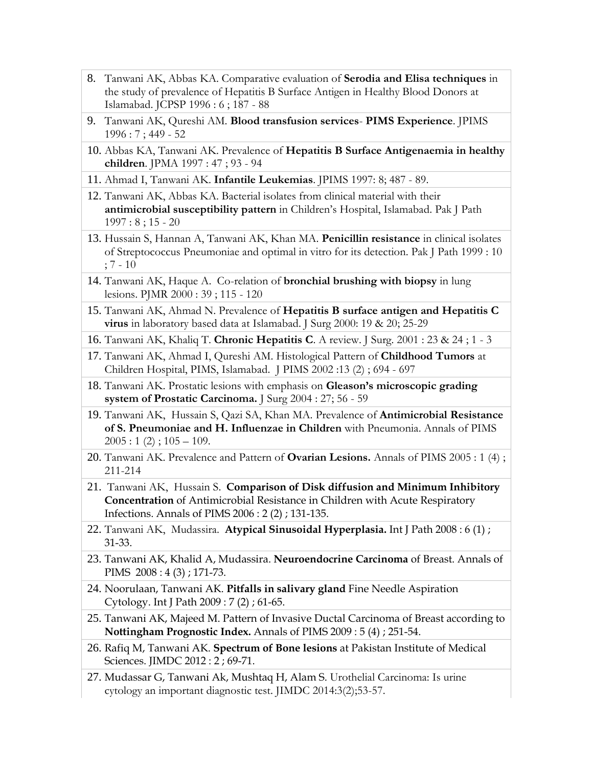- 8. Tanwani AK, Abbas KA. Comparative evaluation of **Serodia and Elisa techniques** in the study of prevalence of Hepatitis B Surface Antigen in Healthy Blood Donors at Islamabad. JCPSP 1996 : 6 ; 187 - 88
- 9. Tanwani AK, Qureshi AM. **Blood transfusion services PIMS Experience**. JPIMS 1996 : 7 ; 449 - 52
- 10. Abbas KA, Tanwani AK. Prevalence of **Hepatitis B Surface Antigenaemia in healthy children**. JPMA 1997 : 47 ; 93 - 94
- 11. Ahmad I, Tanwani AK. **Infantile Leukemias**. JPIMS 1997: 8; 487 89.
- 12. Tanwani AK, Abbas KA. Bacterial isolates from clinical material with their **antimicrobial susceptibility pattern** in Children's Hospital, Islamabad. Pak J Path  $1997:8;15-20$
- 13. Hussain S, Hannan A, Tanwani AK, Khan MA. **Penicillin resistance** in clinical isolates of Streptococcus Pneumoniae and optimal in vitro for its detection. Pak J Path 1999 : 10 ; 7 - 10
- 14. Tanwani AK, Haque A. Co-relation of **bronchial brushing with biopsy** in lung lesions. PJMR 2000 : 39 ; 115 - 120
- 15. Tanwani AK, Ahmad N. Prevalence of **Hepatitis B surface antigen and Hepatitis C virus** in laboratory based data at Islamabad. J Surg 2000: 19 & 20; 25-29
- 16. Tanwani AK, Khaliq T. **Chronic Hepatitis C**. A review. J Surg. 2001 : 23 & 24 ; 1 3
- 17. Tanwani AK, Ahmad I, Qureshi AM. Histological Pattern of **Childhood Tumors** at Children Hospital, PIMS, Islamabad. J PIMS 2002 :13 (2) ; 694 - 697
- 18. Tanwani AK. Prostatic lesions with emphasis on **Gleason's microscopic grading system of Prostatic Carcinoma.** J Surg 2004 : 27; 56 - 59
- 19. Tanwani AK, Hussain S, Qazi SA, Khan MA. Prevalence of **Antimicrobial Resistance of S. Pneumoniae and H. Influenzae in Children** with Pneumonia. Annals of PIMS  $2005 : 1(2) ; 105 - 109.$
- 20. Tanwani AK. Prevalence and Pattern of **Ovarian Lesions.** Annals of PIMS 2005 : 1 (4) ; 211-214
- 21. Tanwani AK, Hussain S. **Comparison of Disk diffusion and Minimum Inhibitory Concentration** of Antimicrobial Resistance in Children with Acute Respiratory Infections. Annals of PIMS 2006 : 2 (2) ; 131-135.
- 22. Tanwani AK, Mudassira. **Atypical Sinusoidal Hyperplasia.** Int J Path 2008 : 6 (1) ; 31-33.
- 23. Tanwani AK, Khalid A, Mudassira. **Neuroendocrine Carcinoma** of Breast. Annals of PIMS 2008 : 4 (3) ; 171-73.
- 24. Noorulaan, Tanwani AK. **Pitfalls in salivary gland** Fine Needle Aspiration Cytology. Int J Path 2009 : 7 (2) ; 61-65.
- 25. Tanwani AK, Majeed M. Pattern of Invasive Ductal Carcinoma of Breast according to **Nottingham Prognostic Index.** Annals of PIMS 2009 : 5 (4) ; 251-54.
- 26. Rafiq M, Tanwani AK. **Spectrum of Bone lesions** at Pakistan Institute of Medical Sciences. JIMDC 2012 : 2 ; 69-71.
- 27. Mudassar G, Tanwani Ak, Mushtaq H, Alam S. Urothelial Carcinoma: Is urine cytology an important diagnostic test. JIMDC 2014:3(2);53-57.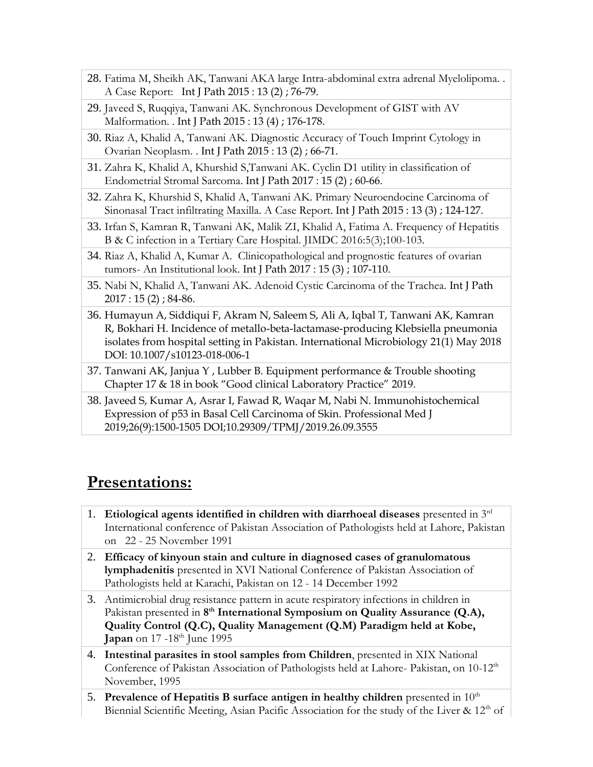- 28. Fatima M, Sheikh AK, Tanwani AKA large Intra-abdominal extra adrenal Myelolipoma. . A Case Report: Int J Path 2015 : 13 (2) ; 76-79.
- 29. Javeed S, Ruqqiya, Tanwani AK. Synchronous Development of GIST with AV Malformation. . Int J Path 2015 : 13 (4) ; 176-178.
- 30. Riaz A, Khalid A, Tanwani AK. Diagnostic Accuracy of Touch Imprint Cytology in Ovarian Neoplasm. . Int J Path 2015 : 13 (2) ; 66-71.
- 31. Zahra K, Khalid A, Khurshid S,Tanwani AK. Cyclin D1 utility in classification of Endometrial Stromal Sarcoma. Int J Path 2017 : 15 (2) ; 60-66.
- 32. Zahra K, Khurshid S, Khalid A, Tanwani AK. Primary Neuroendocine Carcinoma of Sinonasal Tract infiltrating Maxilla. A Case Report. Int J Path 2015 : 13 (3) ; 124-127.
- 33. Irfan S, Kamran R, Tanwani AK, Malik ZI, Khalid A, Fatima A. Frequency of Hepatitis B & C infection in a Tertiary Care Hospital. JIMDC 2016:5(3);100-103.
- 34. Riaz A, Khalid A, Kumar A. Clinicopathological and prognostic features of ovarian tumors- An Institutional look. Int J Path 2017 : 15 (3) ; 107-110.
- 35. Nabi N, Khalid A, Tanwani AK. Adenoid Cystic Carcinoma of the Trachea. Int J Path 2017 : 15 (2) ; 84-86.
- 36. Humayun A, Siddiqui F, Akram N, Saleem S, Ali A, Iqbal T, Tanwani AK, Kamran R, Bokhari H. Incidence of metallo-beta-lactamase-producing Klebsiella pneumonia isolates from hospital setting in Pakistan. International Microbiology 21(1) May 2018 DOI: 10.1007/s10123-018-006-1
- 37. Tanwani AK, Janjua Y , Lubber B. Equipment performance & Trouble shooting Chapter 17 & 18 in book "Good clinical Laboratory Practice" 2019.
- 38. Javeed S, Kumar A, Asrar I, Fawad R, Waqar M, Nabi N. Immunohistochemical Expression of p53 in Basal Cell Carcinoma of Skin. Professional Med J 2019;26(9):1500-1505 DOI;10.29309/TPMJ/2019.26.09.3555

## **Presentations:**

- 1. **Etiological agents identified in children with diarrhoeal diseases** presented in 3rd International conference of Pakistan Association of Pathologists held at Lahore, Pakistan on 22 - 25 November 1991
- 2. **Efficacy of kinyoun stain and culture in diagnosed cases of granulomatous lymphadenitis** presented in XVI National Conference of Pakistan Association of Pathologists held at Karachi, Pakistan on 12 - 14 December 1992
- 3. Antimicrobial drug resistance pattern in acute respiratory infections in children in Pakistan presented in 8<sup>th</sup> International Symposium on Quality Assurance (Q.A), **Quality Control (Q.C), Quality Management (Q.M) Paradigm held at Kobe, Japan** on 17 -18<sup>th</sup> June 1995
- 4. **Intestinal parasites in stool samples from Children**, presented in XIX National Conference of Pakistan Association of Pathologists held at Lahore- Pakistan, on 10-12<sup>th</sup> November, 1995
- 5. Prevalence of Hepatitis B surface antigen in healthy children presented in  $10<sup>th</sup>$ Biennial Scientific Meeting, Asian Pacific Association for the study of the Liver  $\& 12<sup>th</sup>$  of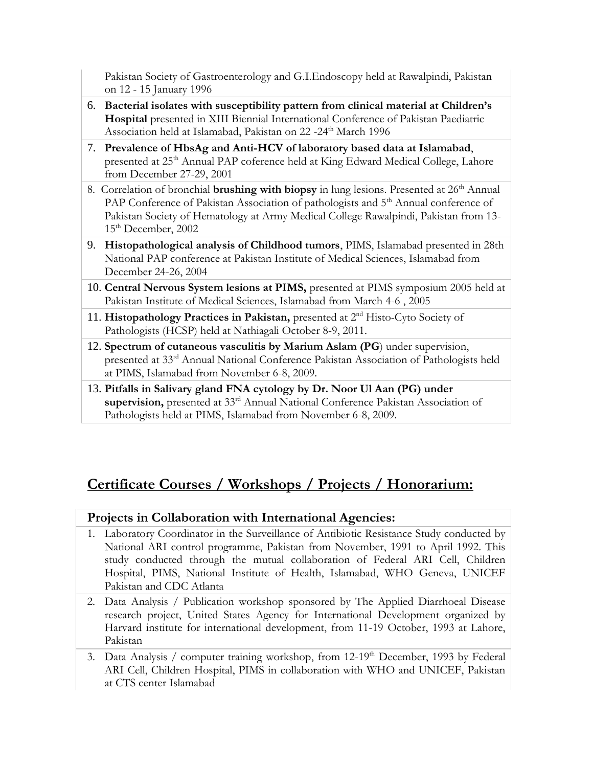Pakistan Society of Gastroenterology and G.I.Endoscopy held at Rawalpindi, Pakistan on 12 - 15 January 1996

- 6. **Bacterial isolates with susceptibility pattern from clinical material at Children's Hospital** presented in XIII Biennial International Conference of Pakistan Paediatric Association held at Islamabad, Pakistan on 22 -24<sup>th</sup> March 1996
- 7. **Prevalence of HbsAg and Anti-HCV of laboratory based data at Islamabad**, presented at 25<sup>th</sup> Annual PAP coference held at King Edward Medical College, Lahore from December 27-29, 2001
- 8. Correlation of bronchial **brushing with biopsy** in lung lesions. Presented at 26<sup>th</sup> Annual PAP Conference of Pakistan Association of pathologists and 5<sup>th</sup> Annual conference of Pakistan Society of Hematology at Army Medical College Rawalpindi, Pakistan from 13- 15<sup>th</sup> December, 2002
- 9. **Histopathological analysis of Childhood tumors**, PIMS, Islamabad presented in 28th National PAP conference at Pakistan Institute of Medical Sciences, Islamabad from December 24-26, 2004
- 10. **Central Nervous System lesions at PIMS,** presented at PIMS symposium 2005 held at Pakistan Institute of Medical Sciences, Islamabad from March 4-6 , 2005
- 11. Histopathology Practices in Pakistan, presented at 2<sup>nd</sup> Histo-Cyto Society of Pathologists (HCSP) held at Nathiagali October 8-9, 2011.
- 12. **Spectrum of cutaneous vasculitis by Marium Aslam (PG**) under supervision, presented at 33rd Annual National Conference Pakistan Association of Pathologists held at PIMS, Islamabad from November 6-8, 2009.
- 13. **Pitfalls in Salivary gland FNA cytology by Dr. Noor Ul Aan (PG) under supervision,** presented at 33rd Annual National Conference Pakistan Association of Pathologists held at PIMS, Islamabad from November 6-8, 2009.

### **Certificate Courses / Workshops / Projects / Honorarium:**

#### **Projects in Collaboration with International Agencies:**

- 1. Laboratory Coordinator in the Surveillance of Antibiotic Resistance Study conducted by National ARI control programme, Pakistan from November, 1991 to April 1992. This study conducted through the mutual collaboration of Federal ARI Cell, Children Hospital, PIMS, National Institute of Health, Islamabad, WHO Geneva, UNICEF Pakistan and CDC Atlanta
- 2. Data Analysis / Publication workshop sponsored by The Applied Diarrhoeal Disease research project, United States Agency for International Development organized by Harvard institute for international development, from 11-19 October, 1993 at Lahore, Pakistan
- 3. Data Analysis / computer training workshop, from 12-19<sup>th</sup> December, 1993 by Federal ARI Cell, Children Hospital, PIMS in collaboration with WHO and UNICEF, Pakistan at CTS center Islamabad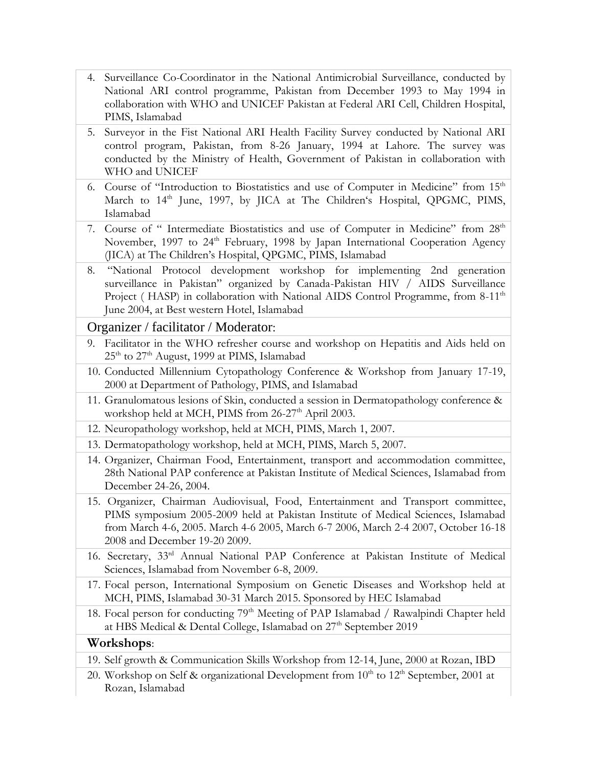- 4. Surveillance Co-Coordinator in the National Antimicrobial Surveillance, conducted by National ARI control programme, Pakistan from December 1993 to May 1994 in collaboration with WHO and UNICEF Pakistan at Federal ARI Cell, Children Hospital, PIMS, Islamabad
- 5. Surveyor in the Fist National ARI Health Facility Survey conducted by National ARI control program, Pakistan, from 8-26 January, 1994 at Lahore. The survey was conducted by the Ministry of Health, Government of Pakistan in collaboration with WHO and UNICEF
- 6. Course of "Introduction to Biostatistics and use of Computer in Medicine" from 15<sup>th</sup> March to 14<sup>th</sup> June, 1997, by JICA at The Children's Hospital, QPGMC, PIMS, Islamabad
- 7. Course of " Intermediate Biostatistics and use of Computer in Medicine" from 28<sup>th</sup> November, 1997 to 24<sup>th</sup> February, 1998 by Japan International Cooperation Agency (JICA) at The Children's Hospital, QPGMC, PIMS, Islamabad
- 8. "National Protocol development workshop for implementing 2nd generation surveillance in Pakistan" organized by Canada-Pakistan HIV / AIDS Surveillance Project ( HASP) in collaboration with National AIDS Control Programme, from 8-11<sup>th</sup> June 2004, at Best western Hotel, Islamabad

#### Organizer / facilitator / Moderator:

- 9. Facilitator in the WHO refresher course and workshop on Hepatitis and Aids held on  $25<sup>th</sup>$  to  $27<sup>th</sup>$  August, 1999 at PIMS, Islamabad
- 10. Conducted Millennium Cytopathology Conference & Workshop from January 17-19, 2000 at Department of Pathology, PIMS, and Islamabad
- 11. Granulomatous lesions of Skin, conducted a session in Dermatopathology conference & workshop held at MCH, PIMS from 26-27<sup>th</sup> April 2003.
- 12. Neuropathology workshop, held at MCH, PIMS, March 1, 2007.
- 13. Dermatopathology workshop, held at MCH, PIMS, March 5, 2007.
- 14. Organizer, Chairman Food, Entertainment, transport and accommodation committee, 28th National PAP conference at Pakistan Institute of Medical Sciences, Islamabad from December 24-26, 2004.
- 15. Organizer, Chairman Audiovisual, Food, Entertainment and Transport committee, PIMS symposium 2005-2009 held at Pakistan Institute of Medical Sciences, Islamabad from March 4-6, 2005. March 4-6 2005, March 6-7 2006, March 2-4 2007, October 16-18 2008 and December 19-20 2009.
- 16. Secretary, 33rd Annual National PAP Conference at Pakistan Institute of Medical Sciences, Islamabad from November 6-8, 2009.
- 17. Focal person, International Symposium on Genetic Diseases and Workshop held at MCH, PIMS, Islamabad 30-31 March 2015. Sponsored by HEC Islamabad
- 18. Focal person for conducting 79<sup>th</sup> Meeting of PAP Islamabad / Rawalpindi Chapter held at HBS Medical & Dental College, Islamabad on 27<sup>th</sup> September 2019

#### **Workshops**:

- 19. Self growth & Communication Skills Workshop from 12-14, June, 2000 at Rozan, IBD
- 20. Workshop on Self & organizational Development from  $10^{th}$  to  $12^{th}$  September, 2001 at Rozan, Islamabad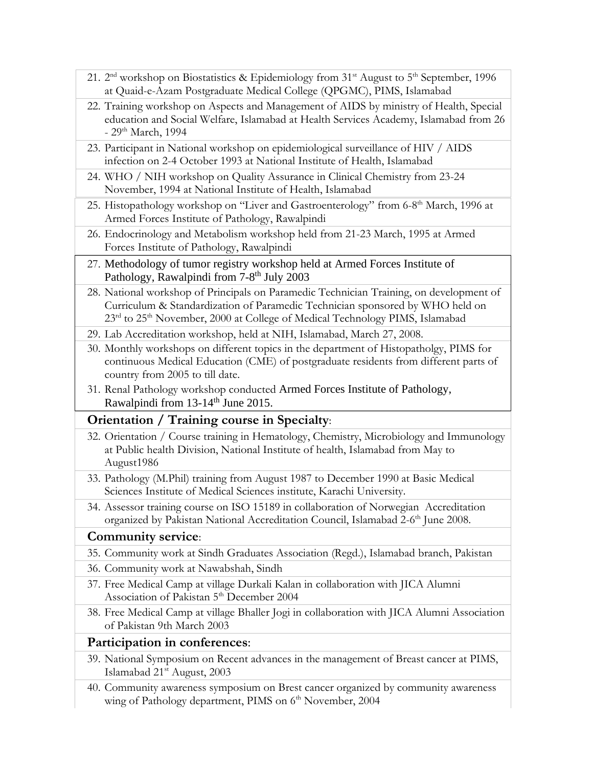- 21. 2<sup>nd</sup> workshop on Biostatistics & Epidemiology from 31<sup>st</sup> August to 5<sup>th</sup> September, 1996 at Quaid-e-Azam Postgraduate Medical College (QPGMC), PIMS, Islamabad
- 22. Training workshop on Aspects and Management of AIDS by ministry of Health, Special education and Social Welfare, Islamabad at Health Services Academy, Islamabad from 26 - 29<sup>th</sup> March, 1994
- 23. Participant in National workshop on epidemiological surveillance of HIV / AIDS infection on 2-4 October 1993 at National Institute of Health, Islamabad
- 24. WHO / NIH workshop on Quality Assurance in Clinical Chemistry from 23-24 November, 1994 at National Institute of Health, Islamabad
- 25. Histopathology workshop on "Liver and Gastroenterology" from 6-8<sup>th</sup> March, 1996 at Armed Forces Institute of Pathology, Rawalpindi
- 26. Endocrinology and Metabolism workshop held from 21-23 March, 1995 at Armed Forces Institute of Pathology, Rawalpindi
- 27. Methodology of tumor registry workshop held at Armed Forces Institute of Pathology, Rawalpindi from 7-8<sup>th</sup> July 2003
- 28. National workshop of Principals on Paramedic Technician Training, on development of Curriculum & Standardization of Paramedic Technician sponsored by WHO held on 23<sup>rd</sup> to 25<sup>th</sup> November, 2000 at College of Medical Technology PIMS, Islamabad
- 29. Lab Accreditation workshop, held at NIH, Islamabad, March 27, 2008.
- 30. Monthly workshops on different topics in the department of Histopatholgy, PIMS for continuous Medical Education (CME) of postgraduate residents from different parts of country from 2005 to till date.
- 31. Renal Pathology workshop conducted Armed Forces Institute of Pathology, Rawalpindi from 13-14<sup>th</sup> June 2015.

#### **Orientation / Training course in Specialty**:

- 32. Orientation / Course training in Hematology, Chemistry, Microbiology and Immunology at Public health Division, National Institute of health, Islamabad from May to August1986
- 33. Pathology (M.Phil) training from August 1987 to December 1990 at Basic Medical Sciences Institute of Medical Sciences institute, Karachi University.
- 34. Assessor training course on ISO 15189 in collaboration of Norwegian Accreditation organized by Pakistan National Accreditation Council, Islamabad 2-6<sup>th</sup> June 2008.

#### **Community service**:

- 35. Community work at Sindh Graduates Association (Regd.), Islamabad branch, Pakistan
- 36. Community work at Nawabshah, Sindh
- 37. Free Medical Camp at village Durkali Kalan in collaboration with JICA Alumni Association of Pakistan 5<sup>th</sup> December 2004
- 38. Free Medical Camp at village Bhaller Jogi in collaboration with JICA Alumni Association of Pakistan 9th March 2003

#### **Participation in conferences**:

- 39. National Symposium on Recent advances in the management of Breast cancer at PIMS, Islamabad 21st August, 2003
- 40. Community awareness symposium on Brest cancer organized by community awareness wing of Pathology department, PIMS on 6<sup>th</sup> November, 2004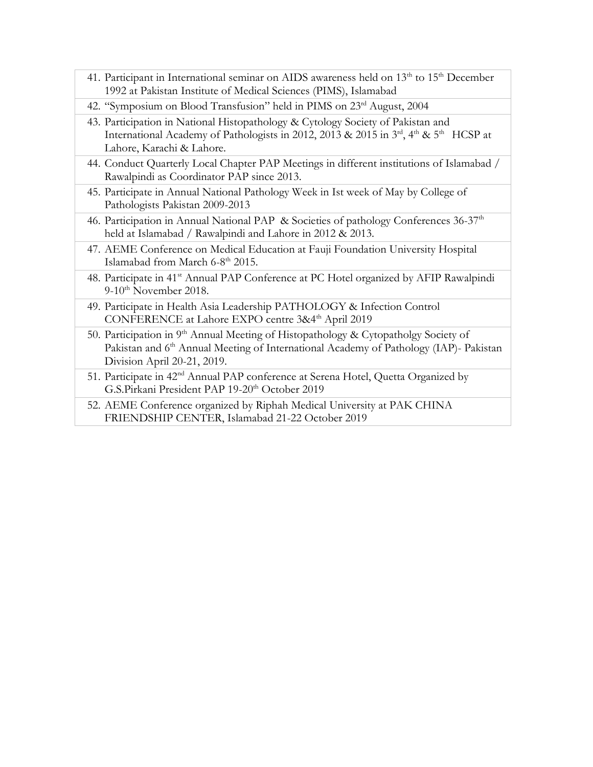- 41. Participant in International seminar on AIDS awareness held on 13<sup>th</sup> to 15<sup>th</sup> December 1992 at Pakistan Institute of Medical Sciences (PIMS), Islamabad
- 42. "Symposium on Blood Transfusion" held in PIMS on 23<sup>rd</sup> August, 2004
- 43. Participation in National Histopathology & Cytology Society of Pakistan and International Academy of Pathologists in 2012, 2013 & 2015 in 3<sup>rd</sup>, 4<sup>th</sup> & 5<sup>th</sup> HCSP at Lahore, Karachi & Lahore.
- 44. Conduct Quarterly Local Chapter PAP Meetings in different institutions of Islamabad / Rawalpindi as Coordinator PAP since 2013.
- 45. Participate in Annual National Pathology Week in Ist week of May by College of Pathologists Pakistan 2009-2013
- 46. Participation in Annual National PAP & Societies of pathology Conferences 36-37<sup>th</sup> held at Islamabad / Rawalpindi and Lahore in 2012 & 2013.
- 47. AEME Conference on Medical Education at Fauji Foundation University Hospital Islamabad from March 6-8<sup>th</sup> 2015.
- 48. Participate in 41<sup>st</sup> Annual PAP Conference at PC Hotel organized by AFIP Rawalpindi  $9-10^{th}$  November 2018.
- 49. Participate in Health Asia Leadership PATHOLOGY & Infection Control CONFERENCE at Lahore EXPO centre 3&4<sup>th</sup> April 2019
- 50. Participation in 9<sup>th</sup> Annual Meeting of Histopathology & Cytopatholgy Society of Pakistan and 6<sup>th</sup> Annual Meeting of International Academy of Pathology (IAP)- Pakistan Division April 20-21, 2019.
- 51. Participate in 42nd Annual PAP conference at Serena Hotel, Quetta Organized by G.S.Pirkani President PAP 19-20<sup>th</sup> October 2019
- 52. AEME Conference organized by Riphah Medical University at PAK CHINA FRIENDSHIP CENTER, Islamabad 21-22 October 2019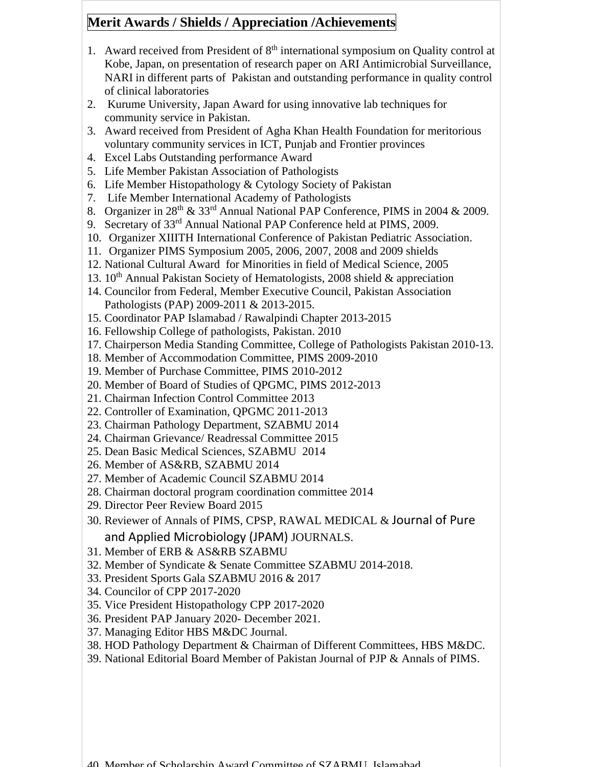#### **Merit Awards / Shields / Appreciation /Achievements**

- 1. Award received from President of  $8<sup>th</sup>$  international symposium on Quality control at Kobe, Japan, on presentation of research paper on ARI Antimicrobial Surveillance, NARI in different parts of Pakistan and outstanding performance in quality control of clinical laboratories
- 2. Kurume University, Japan Award for using innovative lab techniques for community service in Pakistan.
- 3. Award received from President of Agha Khan Health Foundation for meritorious voluntary community services in ICT, Punjab and Frontier provinces
- 4. Excel Labs Outstanding performance Award
- 5. Life Member Pakistan Association of Pathologists
- 6. Life Member Histopathology & Cytology Society of Pakistan
- 7. Life Member International Academy of Pathologists
- 8. Organizer in 28<sup>th</sup> & 33<sup>rd</sup> Annual National PAP Conference, PIMS in 2004 & 2009.
- 9. Secretary of 33<sup>rd</sup> Annual National PAP Conference held at PIMS, 2009.
- 10. Organizer XIIITH International Conference of Pakistan Pediatric Association.
- 11. Organizer PIMS Symposium 2005, 2006, 2007, 2008 and 2009 shields
- 12. National Cultural Award for Minorities in field of Medical Science, 2005
- 13.  $10<sup>th</sup>$  Annual Pakistan Society of Hematologists, 2008 shield & appreciation
- 14. Councilor from Federal, Member Executive Council, Pakistan Association Pathologists (PAP) 2009-2011 & 2013-2015.
- 15. Coordinator PAP Islamabad / Rawalpindi Chapter 2013-2015
- 16. Fellowship College of pathologists, Pakistan. 2010
- 17. Chairperson Media Standing Committee, College of Pathologists Pakistan 2010-13.
- 18. Member of Accommodation Committee, PIMS 2009-2010
- 19. Member of Purchase Committee, PIMS 2010-2012
- 20. Member of Board of Studies of QPGMC, PIMS 2012-2013
- 21. Chairman Infection Control Committee 2013
- 22. Controller of Examination, QPGMC 2011-2013
- 23. Chairman Pathology Department, SZABMU 2014
- 24. Chairman Grievance/ Readressal Committee 2015
- 25. Dean Basic Medical Sciences, SZABMU 2014
- 26. Member of AS&RB, SZABMU 2014
- 27. Member of Academic Council SZABMU 2014
- 28. Chairman doctoral program coordination committee 2014
- 29. Director Peer Review Board 2015
- 30. Reviewer of Annals of PIMS, CPSP, RAWAL MEDICAL & Journal of Pure and Applied Microbiology (JPAM) JOURNALS.
- 31. Member of ERB & AS&RB SZABMU
- 32. Member of Syndicate & Senate Committee SZABMU 2014-2018.
- 33. President Sports Gala SZABMU 2016 & 2017
- 34. Councilor of CPP 2017-2020
- 35. Vice President Histopathology CPP 2017-2020
- 36. President PAP January 2020- December 2021.
- 37. Managing Editor HBS M&DC Journal.
- 38. HOD Pathology Department & Chairman of Different Committees, HBS M&DC.
- 39. National Editorial Board Member of Pakistan Journal of PJP & Annals of PIMS.